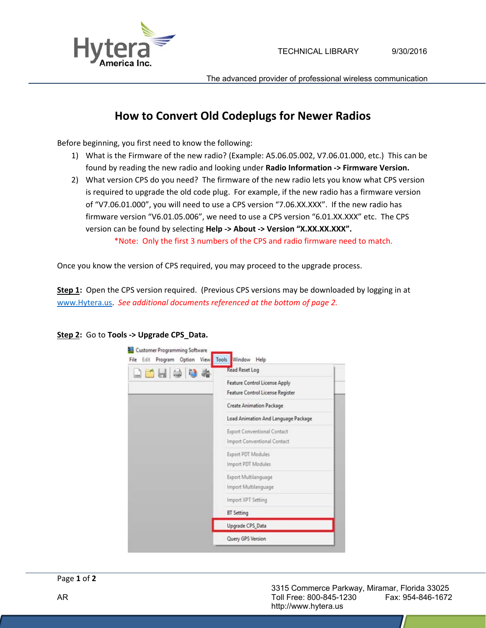



The advanced provider of professional wireless communication

## **How to Convert Old Codeplugs for Newer Radios**

Before beginning, you first need to know the following:

- 1) What is the Firmware of the new radio? (Example: A5.06.05.002, V7.06.01.000, etc.) This can be found by reading the new radio and looking under **Radio Information ‐> Firmware Version.**
- 2) What version CPS do you need? The firmware of the new radio lets you know what CPS version is required to upgrade the old code plug. For example, if the new radio has a firmware version of "V7.06.01.000", you will need to use a CPS version "7.06.XX.XXX". If the new radio has firmware version "V6.01.05.006", we need to use a CPS version "6.01.XX.XXX" etc. The CPS version can be found by selecting **Help ‐> About ‐> Version "X.XX.XX.XXX".**

\*Note: Only the first 3 numbers of the CPS and radio firmware need to match.

Once you know the version of CPS required, you may proceed to the upgrade process.

**Step 1:** Open the CPS version required. (Previous CPS versions may be downloaded by logging in at www.Hytera.us. *See additional documents referenced at the bottom of page 2.*



**Step 2:** Go to **Tools ‐> Upgrade CPS\_Data.**

 3315 Commerce Parkway, Miramar, Florida 33025 AR Toll Free: 800-845-1230 Fax: 954-846-1672 http://www.hytera.us